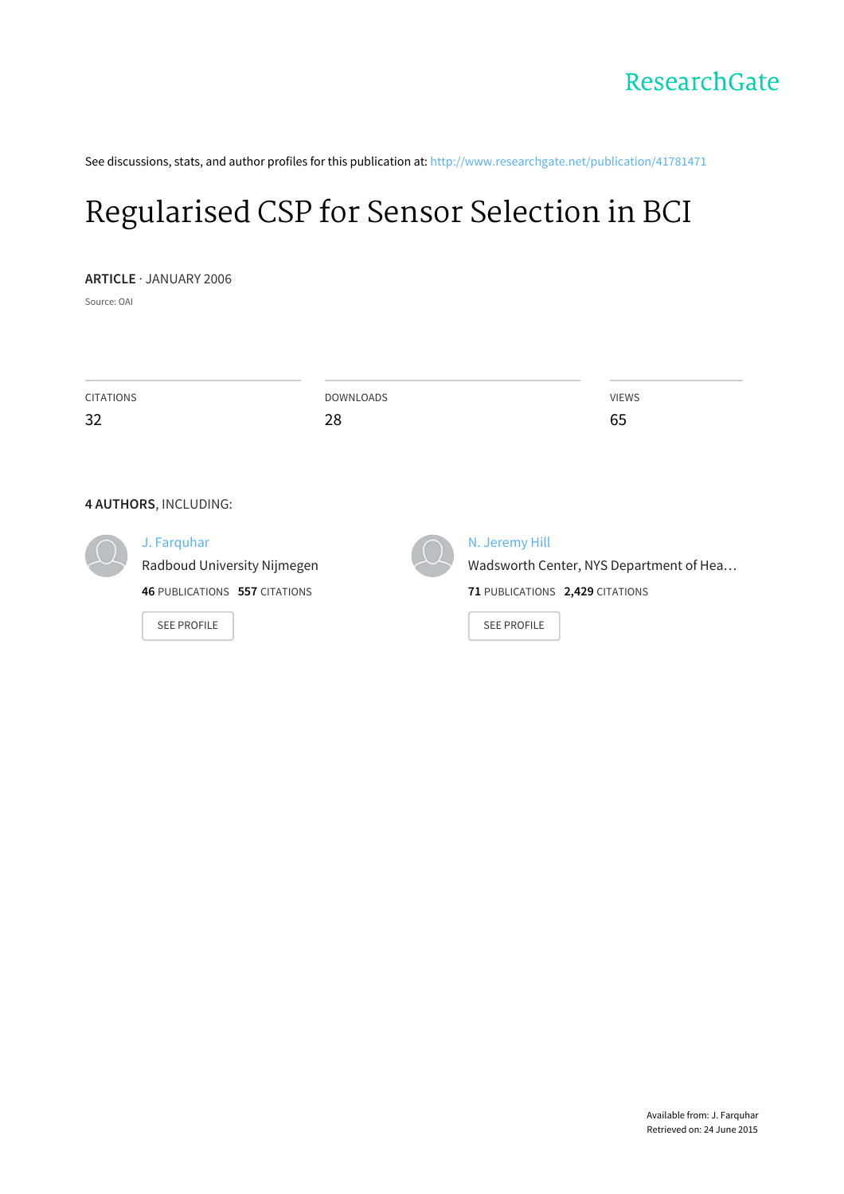See discussions, stats, and author profiles for this publication at: [http://www.researchgate.net/publication/41781471](http://www.researchgate.net/publication/41781471_Regularised_CSP_for_Sensor_Selection_in_BCI?enrichId=rgreq-b33284d8-fa5a-44e5-93a5-141c9738c399&enrichSource=Y292ZXJQYWdlOzQxNzgxNDcxO0FTOjk3Njc3ODUzMzMxNDU2QDE0MDAyOTk2MjMxMjM%3D&el=1_x_2)

# [Regularised](http://www.researchgate.net/publication/41781471_Regularised_CSP_for_Sensor_Selection_in_BCI?enrichId=rgreq-b33284d8-fa5a-44e5-93a5-141c9738c399&enrichSource=Y292ZXJQYWdlOzQxNzgxNDcxO0FTOjk3Njc3ODUzMzMxNDU2QDE0MDAyOTk2MjMxMjM%3D&el=1_x_3) CSP for Sensor Selection in BCI

**ARTICLE** · JANUARY 2006

Source: OAI

| <b>CITATIONS</b>                                                                                                                  | <b>DOWNLOADS</b> | <b>VIEWS</b>                                                                                                       |
|-----------------------------------------------------------------------------------------------------------------------------------|------------------|--------------------------------------------------------------------------------------------------------------------|
| 32                                                                                                                                | 28               | 65                                                                                                                 |
| 4 AUTHORS, INCLUDING:<br>J. Farquhar<br>Radboud University Nijmegen<br><b>46 PUBLICATIONS 557 CITATIONS</b><br><b>SEE PROFILE</b> |                  | N. Jeremy Hill<br>Wadsworth Center, NYS Department of Hea<br>71 PUBLICATIONS 2,429 CITATIONS<br><b>SEE PROFILE</b> |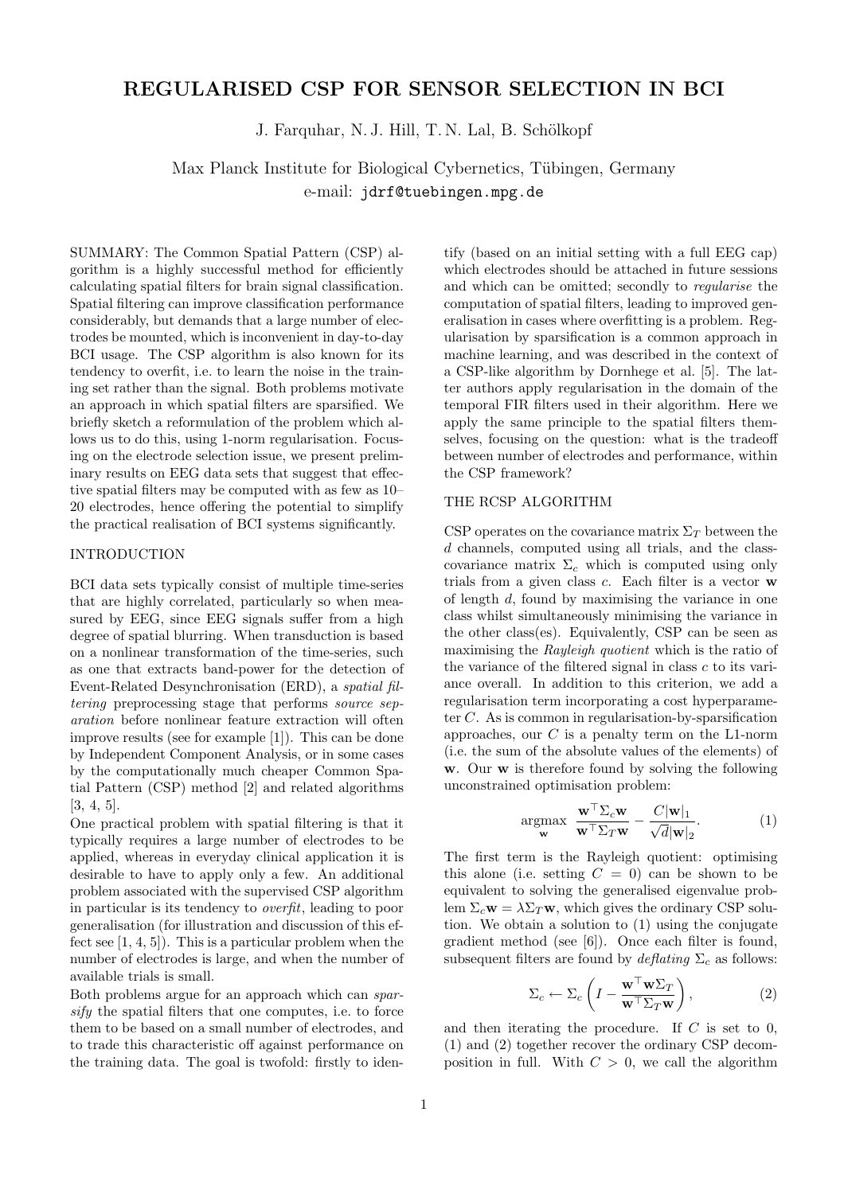## REGULARISED CSP FOR SENSOR SELECTION IN BCI

J. Farquhar, N. J. Hill, T. N. Lal, B. Schölkopf

Max Planck Institute for Biological Cybernetics, Tübingen, Germany e-mail: jdrf@tuebingen.mpg.de

SUMMARY: The Common Spatial Pattern (CSP) algorithm is a highly successful method for efficiently calculating spatial filters for brain signal classification. Spatial filtering can improve classification performance considerably, but demands that a large number of electrodes be mounted, which is inconvenient in day-to-day BCI usage. The CSP algorithm is also known for its tendency to overfit, i.e. to learn the noise in the training set rather than the signal. Both problems motivate an approach in which spatial filters are sparsified. We briefly sketch a reformulation of the problem which allows us to do this, using 1-norm regularisation. Focusing on the electrode selection issue, we present preliminary results on EEG data sets that suggest that effective spatial filters may be computed with as few as 10– 20 electrodes, hence offering the potential to simplify the practical realisation of BCI systems significantly.

#### INTRODUCTION

BCI data sets typically consist of multiple time-series that are highly correlated, particularly so when measured by EEG, since EEG signals suffer from a high degree of spatial blurring. When transduction is based on a nonlinear transformation of the time-series, such as one that extracts band-power for the detection of Event-Related Desynchronisation (ERD), a spatial filtering preprocessing stage that performs source separation before nonlinear feature extraction will often improve results (see for example [1]). This can be done by Independent Component Analysis, or in some cases by the computationally much cheaper Common Spatial Pattern (CSP) method [2] and related algorithms [3, 4, 5].

One practical problem with spatial filtering is that it typically requires a large number of electrodes to be applied, whereas in everyday clinical application it is desirable to have to apply only a few. An additional problem associated with the supervised CSP algorithm in particular is its tendency to overfit, leading to poor generalisation (for illustration and discussion of this effect see [1, 4, 5]). This is a particular problem when the number of electrodes is large, and when the number of available trials is small.

Both problems argue for an approach which can sparsify the spatial filters that one computes, i.e. to force them to be based on a small number of electrodes, and to trade this characteristic off against performance on the training data. The goal is twofold: firstly to identify (based on an initial setting with a full EEG cap) which electrodes should be attached in future sessions and which can be omitted; secondly to regularise the computation of spatial filters, leading to improved generalisation in cases where overfitting is a problem. Regularisation by sparsification is a common approach in machine learning, and was described in the context of a CSP-like algorithm by Dornhege et al. [5]. The latter authors apply regularisation in the domain of the temporal FIR filters used in their algorithm. Here we apply the same principle to the spatial filters themselves, focusing on the question: what is the tradeoff between number of electrodes and performance, within the CSP framework?

#### THE RCSP ALGORITHM

CSP operates on the covariance matrix  $\Sigma_T$  between the d channels, computed using all trials, and the classcovariance matrix  $\Sigma_c$  which is computed using only trials from a given class  $c$ . Each filter is a vector  $\bf{w}$ of length d, found by maximising the variance in one class whilst simultaneously minimising the variance in the other class(es). Equivalently, CSP can be seen as maximising the Rayleigh quotient which is the ratio of the variance of the filtered signal in class  $c$  to its variance overall. In addition to this criterion, we add a regularisation term incorporating a cost hyperparameter C. As is common in regularisation-by-sparsification approaches, our  $C$  is a penalty term on the L1-norm (i.e. the sum of the absolute values of the elements) of w. Our w is therefore found by solving the following unconstrained optimisation problem:

$$
\underset{\mathbf{w}}{\operatorname{argmax}} \ \frac{\mathbf{w}^{\top} \Sigma_c \mathbf{w}}{\mathbf{w}^{\top} \Sigma_T \mathbf{w}} - \frac{C |\mathbf{w}|_1}{\sqrt{d} |\mathbf{w}|_2}.
$$
 (1)

The first term is the Rayleigh quotient: optimising this alone (i.e. setting  $C = 0$ ) can be shown to be equivalent to solving the generalised eigenvalue problem  $\Sigma_c \mathbf{w} = \lambda \Sigma_T \mathbf{w}$ , which gives the ordinary CSP solution. We obtain a solution to (1) using the conjugate gradient method (see [6]). Once each filter is found, subsequent filters are found by  $\mathcal{E}_{\mathcal{E}}$  as follows:

$$
\Sigma_c \leftarrow \Sigma_c \left( I - \frac{\mathbf{w}^\top \mathbf{w} \Sigma_T}{\mathbf{w}^\top \Sigma_T \mathbf{w}} \right),\tag{2}
$$

and then iterating the procedure. If  $C$  is set to 0, (1) and (2) together recover the ordinary CSP decomposition in full. With  $C > 0$ , we call the algorithm